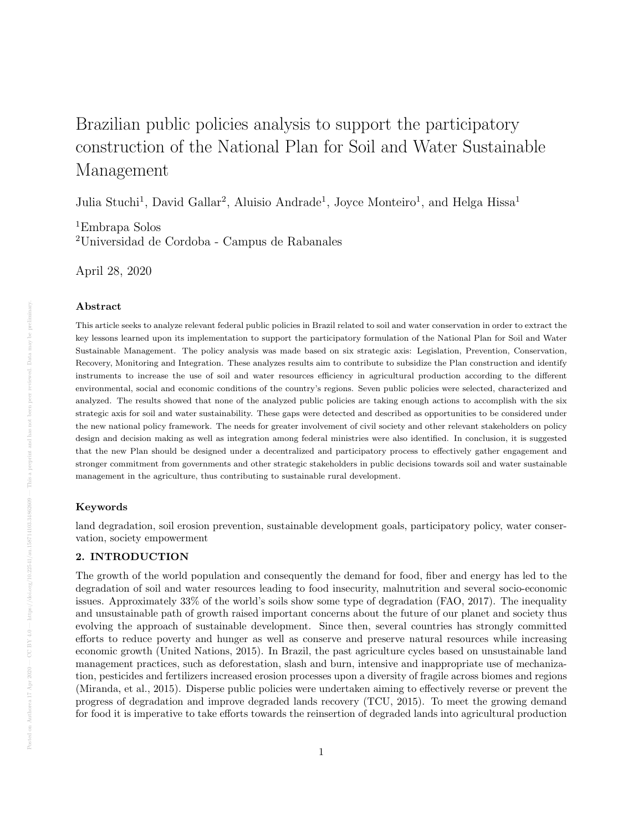# Brazilian public policies analysis to support the participatory construction of the National Plan for Soil and Water Sustainable Management

Julia Stuchi<sup>1</sup>, David Gallar<sup>2</sup>, Aluisio Andrade<sup>1</sup>, Joyce Monteiro<sup>1</sup>, and Helga Hissa<sup>1</sup>

<sup>1</sup>Embrapa Solos <sup>2</sup>Universidad de Cordoba - Campus de Rabanales

April 28, 2020

# Abstract

This article seeks to analyze relevant federal public policies in Brazil related to soil and water conservation in order to extract the key lessons learned upon its implementation to support the participatory formulation of the National Plan for Soil and Water Sustainable Management. The policy analysis was made based on six strategic axis: Legislation, Prevention, Conservation, Recovery, Monitoring and Integration. These analyzes results aim to contribute to subsidize the Plan construction and identify instruments to increase the use of soil and water resources efficiency in agricultural production according to the different environmental, social and economic conditions of the country's regions. Seven public policies were selected, characterized and analyzed. The results showed that none of the analyzed public policies are taking enough actions to accomplish with the six strategic axis for soil and water sustainability. These gaps were detected and described as opportunities to be considered under the new national policy framework. The needs for greater involvement of civil society and other relevant stakeholders on policy design and decision making as well as integration among federal ministries were also identified. In conclusion, it is suggested that the new Plan should be designed under a decentralized and participatory process to effectively gather engagement and stronger commitment from governments and other strategic stakeholders in public decisions towards soil and water sustainable management in the agriculture, thus contributing to sustainable rural development.

# Keywords

land degradation, soil erosion prevention, sustainable development goals, participatory policy, water conservation, society empowerment

# 2. INTRODUCTION

The growth of the world population and consequently the demand for food, fiber and energy has led to the degradation of soil and water resources leading to food insecurity, malnutrition and several socio-economic issues. Approximately 33% of the world's soils show some type of degradation (FAO, 2017). The inequality and unsustainable path of growth raised important concerns about the future of our planet and society thus evolving the approach of sustainable development. Since then, several countries has strongly committed efforts to reduce poverty and hunger as well as conserve and preserve natural resources while increasing economic growth (United Nations, 2015). In Brazil, the past agriculture cycles based on unsustainable land management practices, such as deforestation, slash and burn, intensive and inappropriate use of mechanization, pesticides and fertilizers increased erosion processes upon a diversity of fragile across biomes and regions (Miranda, et al., 2015). Disperse public policies were undertaken aiming to effectively reverse or prevent the progress of degradation and improve degraded lands recovery (TCU, 2015). To meet the growing demand for food it is imperative to take efforts towards the reinsertion of degraded lands into agricultural production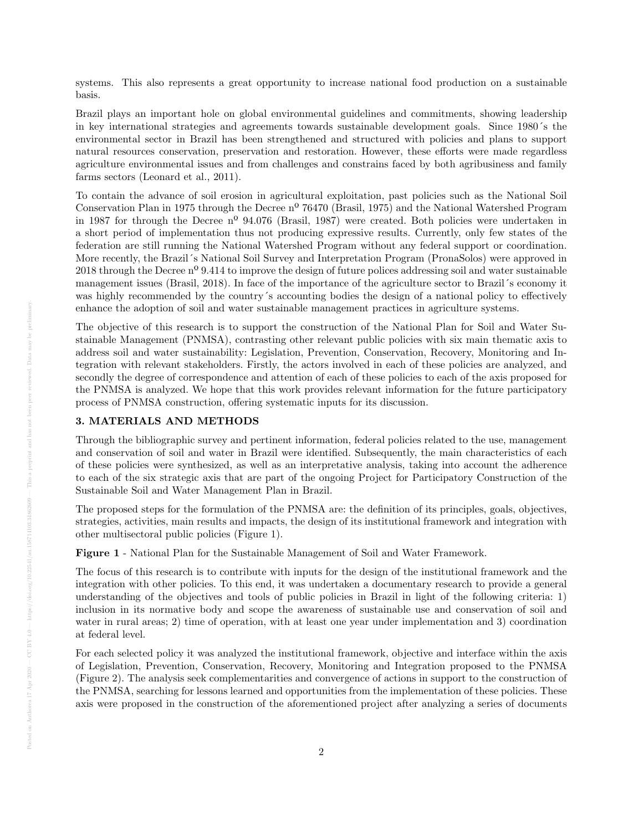systems. This also represents a great opportunity to increase national food production on a sustainable basis.

Brazil plays an important hole on global environmental guidelines and commitments, showing leadership in key international strategies and agreements towards sustainable development goals. Since 1980´s the environmental sector in Brazil has been strengthened and structured with policies and plans to support natural resources conservation, preservation and restoration. However, these efforts were made regardless agriculture environmental issues and from challenges and constrains faced by both agribusiness and family farms sectors (Leonard et al., 2011).

To contain the advance of soil erosion in agricultural exploitation, past policies such as the National Soil Conservation Plan in 1975 through the Decree nº 76470 (Brasil, 1975) and the National Watershed Program in 1987 for through the Decree nº 94.076 (Brasil, 1987) were created. Both policies were undertaken in a short period of implementation thus not producing expressive results. Currently, only few states of the federation are still running the National Watershed Program without any federal support or coordination. More recently, the Brazil´s National Soil Survey and Interpretation Program (PronaSolos) were approved in 2018 through the Decree nº 9.414 to improve the design of future polices addressing soil and water sustainable management issues (Brasil, 2018). In face of the importance of the agriculture sector to Brazil´s economy it was highly recommended by the country´s accounting bodies the design of a national policy to effectively enhance the adoption of soil and water sustainable management practices in agriculture systems.

The objective of this research is to support the construction of the National Plan for Soil and Water Sustainable Management (PNMSA), contrasting other relevant public policies with six main thematic axis to address soil and water sustainability: Legislation, Prevention, Conservation, Recovery, Monitoring and Integration with relevant stakeholders. Firstly, the actors involved in each of these policies are analyzed, and secondly the degree of correspondence and attention of each of these policies to each of the axis proposed for the PNMSA is analyzed. We hope that this work provides relevant information for the future participatory process of PNMSA construction, offering systematic inputs for its discussion.

# 3. MATERIALS AND METHODS

Through the bibliographic survey and pertinent information, federal policies related to the use, management and conservation of soil and water in Brazil were identified. Subsequently, the main characteristics of each of these policies were synthesized, as well as an interpretative analysis, taking into account the adherence to each of the six strategic axis that are part of the ongoing Project for Participatory Construction of the Sustainable Soil and Water Management Plan in Brazil.

The proposed steps for the formulation of the PNMSA are: the definition of its principles, goals, objectives, strategies, activities, main results and impacts, the design of its institutional framework and integration with other multisectoral public policies (Figure 1).

Figure 1 - National Plan for the Sustainable Management of Soil and Water Framework.

The focus of this research is to contribute with inputs for the design of the institutional framework and the integration with other policies. To this end, it was undertaken a documentary research to provide a general understanding of the objectives and tools of public policies in Brazil in light of the following criteria: 1) inclusion in its normative body and scope the awareness of sustainable use and conservation of soil and water in rural areas; 2) time of operation, with at least one year under implementation and 3) coordination at federal level.

For each selected policy it was analyzed the institutional framework, objective and interface within the axis of Legislation, Prevention, Conservation, Recovery, Monitoring and Integration proposed to the PNMSA (Figure 2). The analysis seek complementarities and convergence of actions in support to the construction of the PNMSA, searching for lessons learned and opportunities from the implementation of these policies. These axis were proposed in the construction of the aforementioned project after analyzing a series of documents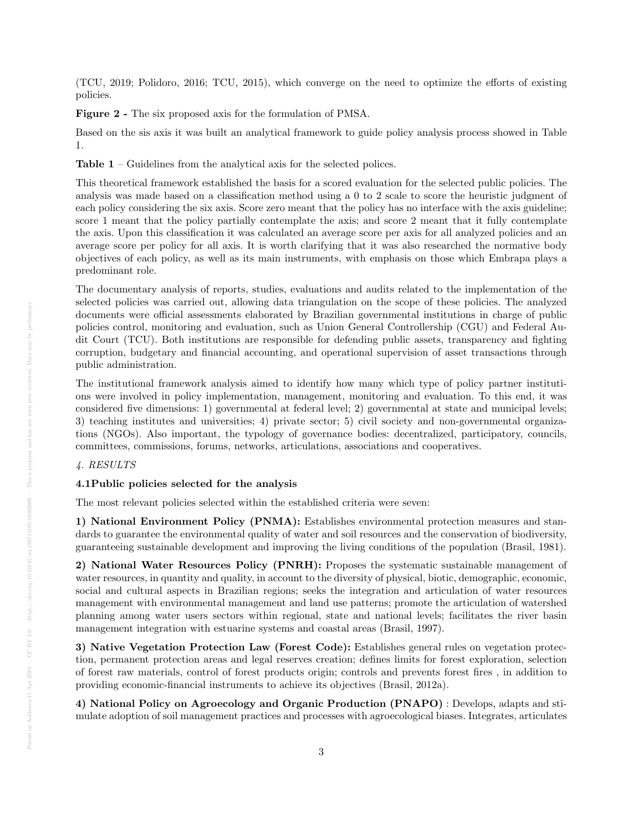(TCU, 2019; Polidoro, 2016; TCU, 2015), which converge on the need to optimize the efforts of existing policies.

Figure 2 - The six proposed axis for the formulation of PMSA.

Based on the sis axis it was built an analytical framework to guide policy analysis process showed in Table 1.

Table 1 – Guidelines from the analytical axis for the selected polices.

This theoretical framework established the basis for a scored evaluation for the selected public policies. The analysis was made based on a classification method using a 0 to 2 scale to score the heuristic judgment of each policy considering the six axis. Score zero meant that the policy has no interface with the axis guideline; score 1 meant that the policy partially contemplate the axis; and score 2 meant that it fully contemplate the axis. Upon this classification it was calculated an average score per axis for all analyzed policies and an average score per policy for all axis. It is worth clarifying that it was also researched the normative body objectives of each policy, as well as its main instruments, with emphasis on those which Embrapa plays a predominant role.

The documentary analysis of reports, studies, evaluations and audits related to the implementation of the selected policies was carried out, allowing data triangulation on the scope of these policies. The analyzed documents were official assessments elaborated by Brazilian governmental institutions in charge of public policies control, monitoring and evaluation, such as Union General Controllership (CGU) and Federal Audit Court (TCU). Both institutions are responsible for defending public assets, transparency and fighting corruption, budgetary and financial accounting, and operational supervision of asset transactions through public administration.

The institutional framework analysis aimed to identify how many which type of policy partner institutions were involved in policy implementation, management, monitoring and evaluation. To this end, it was considered five dimensions: 1) governmental at federal level; 2) governmental at state and municipal levels; 3) teaching institutes and universities; 4) private sector; 5) civil society and non-governmental organizations (NGOs). Also important, the typology of governance bodies: decentralized, participatory, councils, committees, commissions, forums, networks, articulations, associations and cooperatives.

#### 4. RESULTS

#### 4.1Public policies selected for the analysis

The most relevant policies selected within the established criteria were seven:

1) National Environment Policy (PNMA): Establishes environmental protection measures and standards to guarantee the environmental quality of water and soil resources and the conservation of biodiversity, guaranteeing sustainable development and improving the living conditions of the population (Brasil, 1981).

2) National Water Resources Policy (PNRH): Proposes the systematic sustainable management of water resources, in quantity and quality, in account to the diversity of physical, biotic, demographic, economic, social and cultural aspects in Brazilian regions; seeks the integration and articulation of water resources management with environmental management and land use patterns; promote the articulation of watershed planning among water users sectors within regional, state and national levels; facilitates the river basin management integration with estuarine systems and coastal areas (Brasil, 1997).

3) Native Vegetation Protection Law (Forest Code): Establishes general rules on vegetation protection, permanent protection areas and legal reserves creation; defines limits for forest exploration, selection of forest raw materials, control of forest products origin; controls and prevents forest fires , in addition to providing economic-financial instruments to achieve its objectives (Brasil, 2012a).

4) National Policy on Agroecology and Organic Production (PNAPO) : Develops, adapts and stimulate adoption of soil management practices and processes with agroecological biases. Integrates, articulates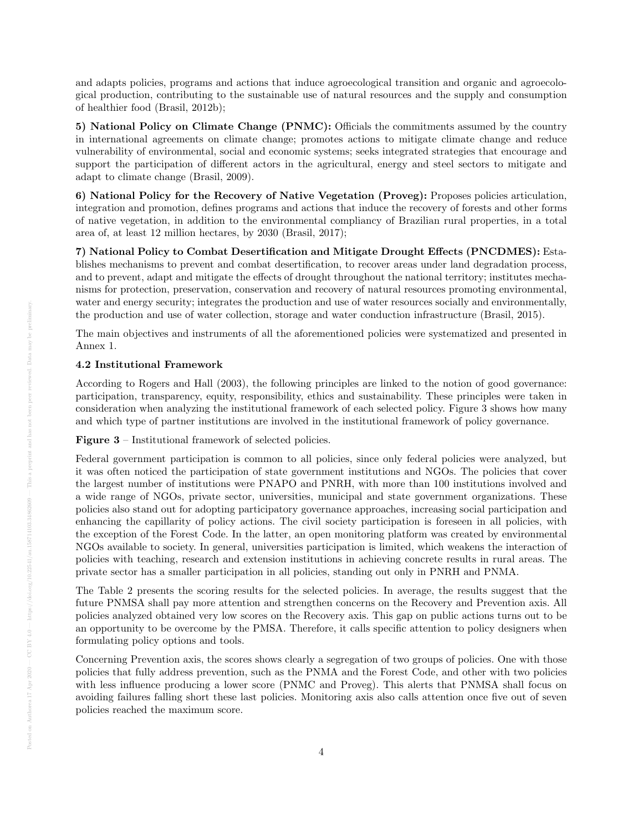and adapts policies, programs and actions that induce agroecological transition and organic and agroecological production, contributing to the sustainable use of natural resources and the supply and consumption of healthier food (Brasil, 2012b);

5) National Policy on Climate Change (PNMC): Officials the commitments assumed by the country in international agreements on climate change; promotes actions to mitigate climate change and reduce vulnerability of environmental, social and economic systems; seeks integrated strategies that encourage and support the participation of different actors in the agricultural, energy and steel sectors to mitigate and adapt to climate change (Brasil, 2009).

6) National Policy for the Recovery of Native Vegetation (Proveg): Proposes policies articulation, integration and promotion, defines programs and actions that induce the recovery of forests and other forms of native vegetation, in addition to the environmental compliancy of Brazilian rural properties, in a total area of, at least 12 million hectares, by 2030 (Brasil, 2017);

7) National Policy to Combat Desertification and Mitigate Drought Effects (PNCDMES): Establishes mechanisms to prevent and combat desertification, to recover areas under land degradation process, and to prevent, adapt and mitigate the effects of drought throughout the national territory; institutes mechanisms for protection, preservation, conservation and recovery of natural resources promoting environmental, water and energy security; integrates the production and use of water resources socially and environmentally, the production and use of water collection, storage and water conduction infrastructure (Brasil, 2015).

The main objectives and instruments of all the aforementioned policies were systematized and presented in Annex 1.

#### 4.2 Institutional Framework

According to Rogers and Hall (2003), the following principles are linked to the notion of good governance: participation, transparency, equity, responsibility, ethics and sustainability. These principles were taken in consideration when analyzing the institutional framework of each selected policy. Figure 3 shows how many and which type of partner institutions are involved in the institutional framework of policy governance.

Figure 3 – Institutional framework of selected policies.

Federal government participation is common to all policies, since only federal policies were analyzed, but it was often noticed the participation of state government institutions and NGOs. The policies that cover the largest number of institutions were PNAPO and PNRH, with more than 100 institutions involved and a wide range of NGOs, private sector, universities, municipal and state government organizations. These policies also stand out for adopting participatory governance approaches, increasing social participation and enhancing the capillarity of policy actions. The civil society participation is foreseen in all policies, with the exception of the Forest Code. In the latter, an open monitoring platform was created by environmental NGOs available to society. In general, universities participation is limited, which weakens the interaction of policies with teaching, research and extension institutions in achieving concrete results in rural areas. The private sector has a smaller participation in all policies, standing out only in PNRH and PNMA.

The Table 2 presents the scoring results for the selected policies. In average, the results suggest that the future PNMSA shall pay more attention and strengthen concerns on the Recovery and Prevention axis. All policies analyzed obtained very low scores on the Recovery axis. This gap on public actions turns out to be an opportunity to be overcome by the PMSA. Therefore, it calls specific attention to policy designers when formulating policy options and tools.

Concerning Prevention axis, the scores shows clearly a segregation of two groups of policies. One with those policies that fully address prevention, such as the PNMA and the Forest Code, and other with two policies with less influence producing a lower score (PNMC and Proveg). This alerts that PNMSA shall focus on avoiding failures falling short these last policies. Monitoring axis also calls attention once five out of seven policies reached the maximum score.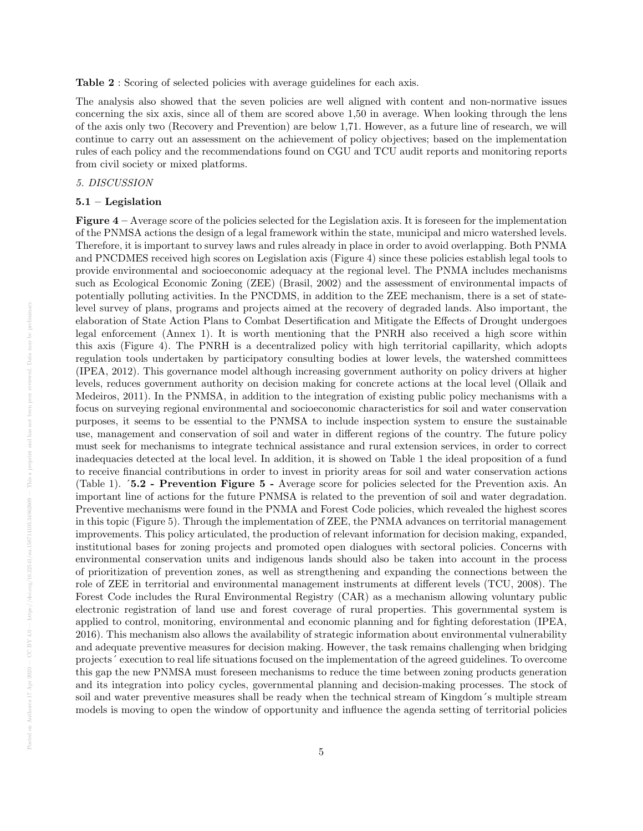Table 2 : Scoring of selected policies with average guidelines for each axis.

The analysis also showed that the seven policies are well aligned with content and non-normative issues concerning the six axis, since all of them are scored above 1,50 in average. When looking through the lens of the axis only two (Recovery and Prevention) are below 1,71. However, as a future line of research, we will continue to carry out an assessment on the achievement of policy objectives; based on the implementation rules of each policy and the recommendations found on CGU and TCU audit reports and monitoring reports from civil society or mixed platforms.

#### 5. DISCUSSION

## 5.1 – Legislation

**Figure 4** – Average score of the policies selected for the Legislation axis. It is foreseen for the implementation of the PNMSA actions the design of a legal framework within the state, municipal and micro watershed levels. Therefore, it is important to survey laws and rules already in place in order to avoid overlapping. Both PNMA and PNCDMES received high scores on Legislation axis (Figure 4) since these policies establish legal tools to provide environmental and socioeconomic adequacy at the regional level. The PNMA includes mechanisms such as Ecological Economic Zoning (ZEE) (Brasil, 2002) and the assessment of environmental impacts of potentially polluting activities. In the PNCDMS, in addition to the ZEE mechanism, there is a set of statelevel survey of plans, programs and projects aimed at the recovery of degraded lands. Also important, the elaboration of State Action Plans to Combat Desertification and Mitigate the Effects of Drought undergoes legal enforcement (Annex 1). It is worth mentioning that the PNRH also received a high score within this axis (Figure 4). The PNRH is a decentralized policy with high territorial capillarity, which adopts regulation tools undertaken by participatory consulting bodies at lower levels, the watershed committees (IPEA, 2012). This governance model although increasing government authority on policy drivers at higher levels, reduces government authority on decision making for concrete actions at the local level (Ollaik and Medeiros, 2011). In the PNMSA, in addition to the integration of existing public policy mechanisms with a focus on surveying regional environmental and socioeconomic characteristics for soil and water conservation purposes, it seems to be essential to the PNMSA to include inspection system to ensure the sustainable use, management and conservation of soil and water in different regions of the country. The future policy must seek for mechanisms to integrate technical assistance and rural extension services, in order to correct inadequacies detected at the local level. In addition, it is showed on Table 1 the ideal proposition of a fund to receive financial contributions in order to invest in priority areas for soil and water conservation actions (Table 1). ´5.2 - Prevention Figure 5 - Average score for policies selected for the Prevention axis. An important line of actions for the future PNMSA is related to the prevention of soil and water degradation. Preventive mechanisms were found in the PNMA and Forest Code policies, which revealed the highest scores in this topic (Figure 5). Through the implementation of ZEE, the PNMA advances on territorial management improvements. This policy articulated, the production of relevant information for decision making, expanded, institutional bases for zoning projects and promoted open dialogues with sectoral policies. Concerns with environmental conservation units and indigenous lands should also be taken into account in the process of prioritization of prevention zones, as well as strengthening and expanding the connections between the role of ZEE in territorial and environmental management instruments at different levels (TCU, 2008). The Forest Code includes the Rural Environmental Registry (CAR) as a mechanism allowing voluntary public electronic registration of land use and forest coverage of rural properties. This governmental system is applied to control, monitoring, environmental and economic planning and for fighting deforestation (IPEA, 2016). This mechanism also allows the availability of strategic information about environmental vulnerability and adequate preventive measures for decision making. However, the task remains challenging when bridging projects´ execution to real life situations focused on the implementation of the agreed guidelines. To overcome this gap the new PNMSA must foreseen mechanisms to reduce the time between zoning products generation and its integration into policy cycles, governmental planning and decision-making processes. The stock of soil and water preventive measures shall be ready when the technical stream of Kingdom´s multiple stream models is moving to open the window of opportunity and influence the agenda setting of territorial policies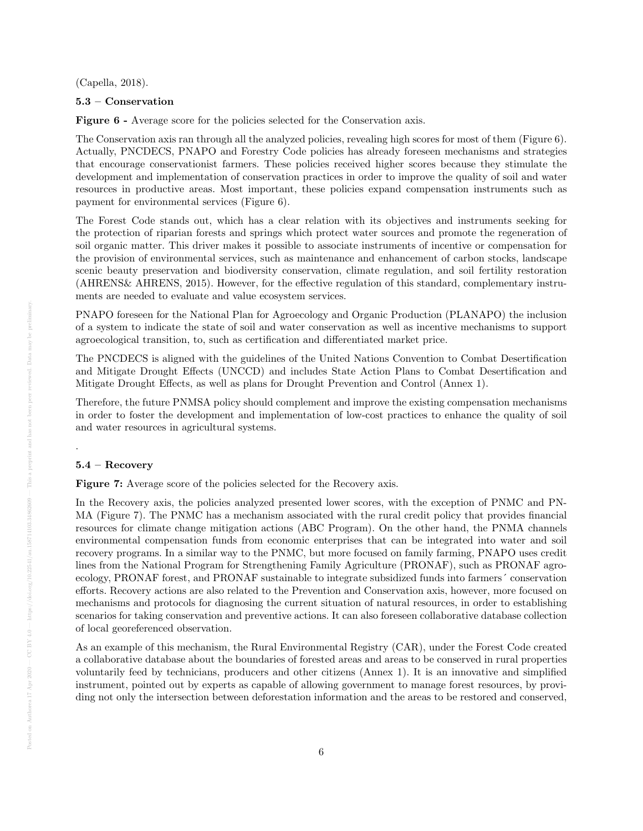(Capella, 2018).

#### 5.3 – Conservation

Figure 6 - Average score for the policies selected for the Conservation axis.

The Conservation axis ran through all the analyzed policies, revealing high scores for most of them (Figure 6). Actually, PNCDECS, PNAPO and Forestry Code policies has already foreseen mechanisms and strategies that encourage conservationist farmers. These policies received higher scores because they stimulate the development and implementation of conservation practices in order to improve the quality of soil and water resources in productive areas. Most important, these policies expand compensation instruments such as payment for environmental services (Figure 6).

The Forest Code stands out, which has a clear relation with its objectives and instruments seeking for the protection of riparian forests and springs which protect water sources and promote the regeneration of soil organic matter. This driver makes it possible to associate instruments of incentive or compensation for the provision of environmental services, such as maintenance and enhancement of carbon stocks, landscape scenic beauty preservation and biodiversity conservation, climate regulation, and soil fertility restoration (AHRENS& AHRENS, 2015). However, for the effective regulation of this standard, complementary instruments are needed to evaluate and value ecosystem services.

PNAPO foreseen for the National Plan for Agroecology and Organic Production (PLANAPO) the inclusion of a system to indicate the state of soil and water conservation as well as incentive mechanisms to support agroecological transition, to, such as certification and differentiated market price.

The PNCDECS is aligned with the guidelines of the United Nations Convention to Combat Desertification and Mitigate Drought Effects (UNCCD) and includes State Action Plans to Combat Desertification and Mitigate Drought Effects, as well as plans for Drought Prevention and Control (Annex 1).

Therefore, the future PNMSA policy should complement and improve the existing compensation mechanisms in order to foster the development and implementation of low-cost practices to enhance the quality of soil and water resources in agricultural systems.

#### 5.4 – Recovery

.

Figure 7: Average score of the policies selected for the Recovery axis.

In the Recovery axis, the policies analyzed presented lower scores, with the exception of PNMC and PN-MA (Figure 7). The PNMC has a mechanism associated with the rural credit policy that provides financial resources for climate change mitigation actions (ABC Program). On the other hand, the PNMA channels environmental compensation funds from economic enterprises that can be integrated into water and soil recovery programs. In a similar way to the PNMC, but more focused on family farming, PNAPO uses credit lines from the National Program for Strengthening Family Agriculture (PRONAF), such as PRONAF agroecology, PRONAF forest, and PRONAF sustainable to integrate subsidized funds into farmers´ conservation efforts. Recovery actions are also related to the Prevention and Conservation axis, however, more focused on mechanisms and protocols for diagnosing the current situation of natural resources, in order to establishing scenarios for taking conservation and preventive actions. It can also foreseen collaborative database collection of local georeferenced observation.

As an example of this mechanism, the Rural Environmental Registry (CAR), under the Forest Code created a collaborative database about the boundaries of forested areas and areas to be conserved in rural properties voluntarily feed by technicians, producers and other citizens (Annex 1). It is an innovative and simplified instrument, pointed out by experts as capable of allowing government to manage forest resources, by providing not only the intersection between deforestation information and the areas to be restored and conserved,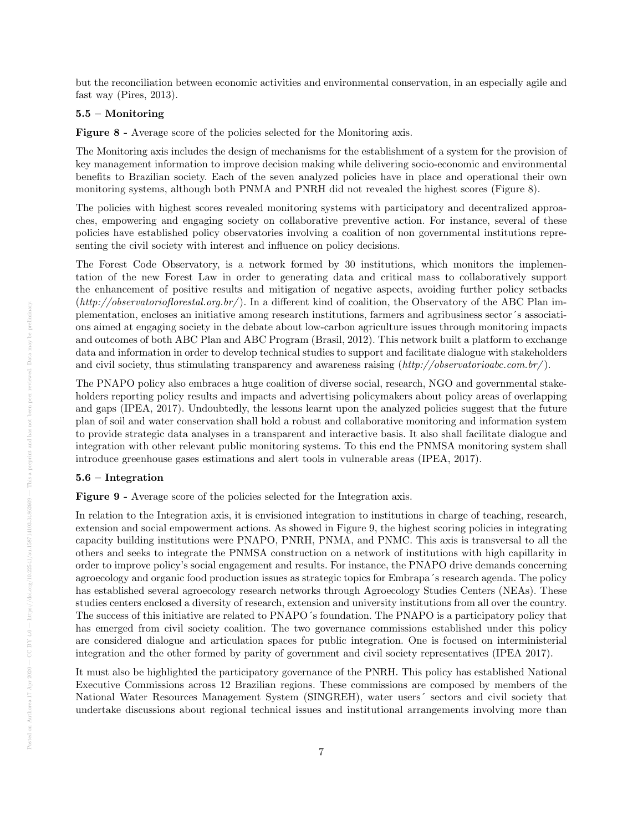but the reconciliation between economic activities and environmental conservation, in an especially agile and fast way (Pires, 2013).

#### 5.5 – Monitoring

Figure 8 - Average score of the policies selected for the Monitoring axis.

The Monitoring axis includes the design of mechanisms for the establishment of a system for the provision of key management information to improve decision making while delivering socio-economic and environmental benefits to Brazilian society. Each of the seven analyzed policies have in place and operational their own monitoring systems, although both PNMA and PNRH did not revealed the highest scores (Figure 8).

The policies with highest scores revealed monitoring systems with participatory and decentralized approaches, empowering and engaging society on collaborative preventive action. For instance, several of these policies have established policy observatories involving a coalition of non governmental institutions representing the civil society with interest and influence on policy decisions.

The Forest Code Observatory, is a network formed by 30 institutions, which monitors the implementation of the new Forest Law in order to generating data and critical mass to collaboratively support the enhancement of positive results and mitigation of negative aspects, avoiding further policy setbacks  $(http://observation of forestal.org.br/$ . In a different kind of coalition, the Observatory of the ABC Plan implementation, encloses an initiative among research institutions, farmers and agribusiness sector´s associations aimed at engaging society in the debate about low-carbon agriculture issues through monitoring impacts and outcomes of both ABC Plan and ABC Program (Brasil, 2012). This network built a platform to exchange data and information in order to develop technical studies to support and facilitate dialogue with stakeholders and civil society, thus stimulating transparency and awareness raising  $(\textit{http://observation.br/}).$ 

The PNAPO policy also embraces a huge coalition of diverse social, research, NGO and governmental stakeholders reporting policy results and impacts and advertising policymakers about policy areas of overlapping and gaps (IPEA, 2017). Undoubtedly, the lessons learnt upon the analyzed policies suggest that the future plan of soil and water conservation shall hold a robust and collaborative monitoring and information system to provide strategic data analyses in a transparent and interactive basis. It also shall facilitate dialogue and integration with other relevant public monitoring systems. To this end the PNMSA monitoring system shall introduce greenhouse gases estimations and alert tools in vulnerable areas (IPEA, 2017).

## 5.6 – Integration

Figure 9 - Average score of the policies selected for the Integration axis.

In relation to the Integration axis, it is envisioned integration to institutions in charge of teaching, research, extension and social empowerment actions. As showed in Figure 9, the highest scoring policies in integrating capacity building institutions were PNAPO, PNRH, PNMA, and PNMC. This axis is transversal to all the others and seeks to integrate the PNMSA construction on a network of institutions with high capillarity in order to improve policy's social engagement and results. For instance, the PNAPO drive demands concerning agroecology and organic food production issues as strategic topics for Embrapa´s research agenda. The policy has established several agroecology research networks through Agroecology Studies Centers (NEAs). These studies centers enclosed a diversity of research, extension and university institutions from all over the country. The success of this initiative are related to PNAPO´s foundation. The PNAPO is a participatory policy that has emerged from civil society coalition. The two governance commissions established under this policy are considered dialogue and articulation spaces for public integration. One is focused on interministerial integration and the other formed by parity of government and civil society representatives (IPEA 2017).

It must also be highlighted the participatory governance of the PNRH. This policy has established National Executive Commissions across 12 Brazilian regions. These commissions are composed by members of the National Water Resources Management System (SINGREH), water users´ sectors and civil society that undertake discussions about regional technical issues and institutional arrangements involving more than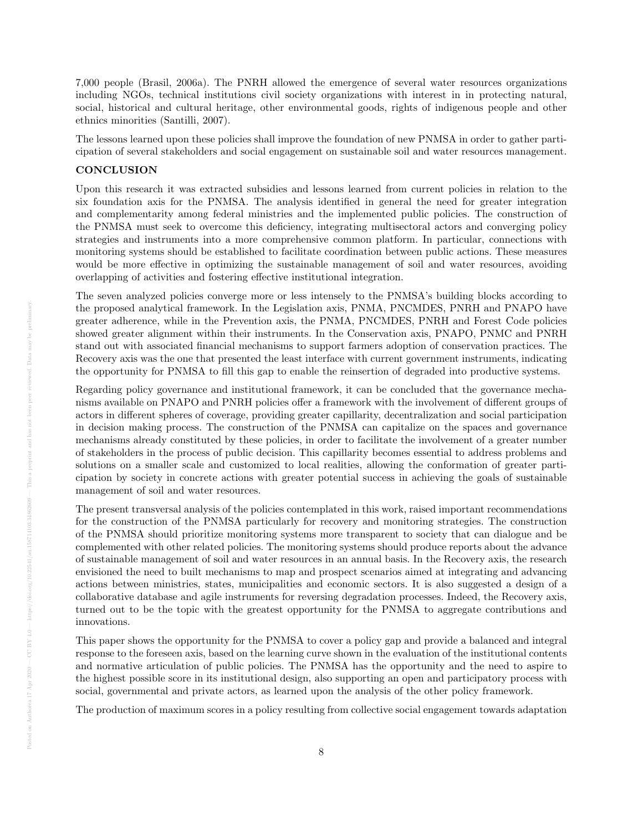7,000 people (Brasil, 2006a). The PNRH allowed the emergence of several water resources organizations including NGOs, technical institutions civil society organizations with interest in in protecting natural, social, historical and cultural heritage, other environmental goods, rights of indigenous people and other ethnics minorities (Santilli, 2007).

The lessons learned upon these policies shall improve the foundation of new PNMSA in order to gather participation of several stakeholders and social engagement on sustainable soil and water resources management.

#### **CONCLUSION**

Upon this research it was extracted subsidies and lessons learned from current policies in relation to the six foundation axis for the PNMSA. The analysis identified in general the need for greater integration and complementarity among federal ministries and the implemented public policies. The construction of the PNMSA must seek to overcome this deficiency, integrating multisectoral actors and converging policy strategies and instruments into a more comprehensive common platform. In particular, connections with monitoring systems should be established to facilitate coordination between public actions. These measures would be more effective in optimizing the sustainable management of soil and water resources, avoiding overlapping of activities and fostering effective institutional integration.

The seven analyzed policies converge more or less intensely to the PNMSA's building blocks according to the proposed analytical framework. In the Legislation axis, PNMA, PNCMDES, PNRH and PNAPO have greater adherence, while in the Prevention axis, the PNMA, PNCMDES, PNRH and Forest Code policies showed greater alignment within their instruments. In the Conservation axis, PNAPO, PNMC and PNRH stand out with associated financial mechanisms to support farmers adoption of conservation practices. The Recovery axis was the one that presented the least interface with current government instruments, indicating the opportunity for PNMSA to fill this gap to enable the reinsertion of degraded into productive systems.

Regarding policy governance and institutional framework, it can be concluded that the governance mechanisms available on PNAPO and PNRH policies offer a framework with the involvement of different groups of actors in different spheres of coverage, providing greater capillarity, decentralization and social participation in decision making process. The construction of the PNMSA can capitalize on the spaces and governance mechanisms already constituted by these policies, in order to facilitate the involvement of a greater number of stakeholders in the process of public decision. This capillarity becomes essential to address problems and solutions on a smaller scale and customized to local realities, allowing the conformation of greater participation by society in concrete actions with greater potential success in achieving the goals of sustainable management of soil and water resources.

The present transversal analysis of the policies contemplated in this work, raised important recommendations for the construction of the PNMSA particularly for recovery and monitoring strategies. The construction of the PNMSA should prioritize monitoring systems more transparent to society that can dialogue and be complemented with other related policies. The monitoring systems should produce reports about the advance of sustainable management of soil and water resources in an annual basis. In the Recovery axis, the research envisioned the need to built mechanisms to map and prospect scenarios aimed at integrating and advancing actions between ministries, states, municipalities and economic sectors. It is also suggested a design of a collaborative database and agile instruments for reversing degradation processes. Indeed, the Recovery axis, turned out to be the topic with the greatest opportunity for the PNMSA to aggregate contributions and innovations.

This paper shows the opportunity for the PNMSA to cover a policy gap and provide a balanced and integral response to the foreseen axis, based on the learning curve shown in the evaluation of the institutional contents and normative articulation of public policies. The PNMSA has the opportunity and the need to aspire to the highest possible score in its institutional design, also supporting an open and participatory process with social, governmental and private actors, as learned upon the analysis of the other policy framework.

The production of maximum scores in a policy resulting from collective social engagement towards adaptation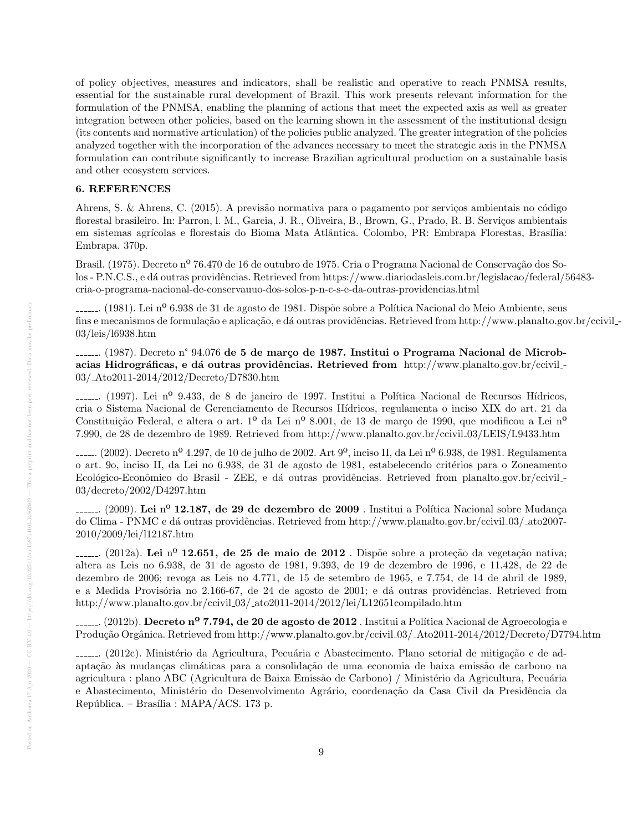of policy objectives, measures and indicators, shall be realistic and operative to reach PNMSA results, essential for the sustainable rural development of Brazil. This work presents relevant information for the formulation of the PNMSA, enabling the planning of actions that meet the expected axis as well as greater integration between other policies, based on the learning shown in the assessment of the institutional design (its contents and normative articulation) of the policies public analyzed. The greater integration of the policies analyzed together with the incorporation of the advances necessary to meet the strategic axis in the PNMSA formulation can contribute significantly to increase Brazilian agricultural production on a sustainable basis and other ecosystem services.

# 6. REFERENCES

Ahrens, S. & Ahrens, C. (2015). A previsão normativa para o pagamento por serviços ambientais no código florestal brasileiro. In: Parron, l. M., Garcia, J. R., Oliveira, B., Brown, G., Prado, R. B. Serviços ambientais em sistemas agrícolas e florestais do Bioma Mata Atlântica. Colombo, PR: Embrapa Florestas, Brasília: Embrapa. 370p.

Brasil. (1975). Decreto nº 76.470 de 16 de outubro de 1975. Cria o Programa Nacional de Conservação dos Solos - P.N.C.S., e dá outras providências. Retrieved from https://www.diariodasleis.com.br/legislacao/federal/56483cria-o-programa-nacional-de-conservauuo-dos-solos-p-n-c-s-e-da-outras-providencias.html

 $\ldots$ . (1981). Lei nº 6.938 de 31 de agosto de 1981. Dispõe sobre a Política Nacional do Meio Ambiente, seus fins e mecanismos de formulação e aplicação, e dá outras providências. Retrieved from http://www.planalto.gov.br/ccivil\_-03/leis/l6938.htm

....... (1987). Decreto nº 94.076 de 5 de março de 1987. Institui o Programa Nacional de Microbacias Hidrográficas, e dá outras providências. Retrieved from http://www.planalto.gov.br/ccivil\_ 03/ Ato2011-2014/2012/Decreto/D7830.htm

........ (1997). Lei nº 9.433, de 8 de janeiro de 1997. Institui a Política Nacional de Recursos Hídricos, cria o Sistema Nacional de Gerenciamento de Recursos H´ıdricos, regulamenta o inciso XIX do art. 21 da Constituição Federal, e altera o art. 1º da Lei nº 8.001, de 13 de março de 1990, que modificou a Lei nº 7.990, de 28 de dezembro de 1989. Retrieved from http://www.planalto.gov.br/ccivil 03/LEIS/L9433.htm

....... (2002). Decreto nº 4.297, de 10 de julho de 2002. Art  $9^{\circ}$ , inciso II, da Lei nº 6.938, de 1981. Regulamenta o art. 90, inciso II, da Lei no 6.938, de 31 de agosto de 1981, estabelecendo critérios para o Zoneamento Ecológico-Econômico do Brasil - ZEE, e dá outras providências. Retrieved from planalto.gov.br/ccivil. 03/decreto/2002/D4297.htm

........ (2009). Lei  $n^{\Omega}$  12.187, de 29 de dezembro de 2009 . Institui a Política Nacional sobre Mudança do Clima - PNMC e dá outras providências. Retrieved from http://www.planalto.gov.br/ccivil\_03/\_ato2007-2010/2009/lei/l12187.htm

........ (2012a). Lei nº 12.651, de 25 de maio de 2012 . Dispõe sobre a proteção da vegetação nativa; altera as Leis no 6.938, de 31 de agosto de 1981, 9.393, de 19 de dezembro de 1996, e 11.428, de 22 de dezembro de 2006; revoga as Leis no 4.771, de 15 de setembro de 1965, e 7.754, de 14 de abril de 1989, e a Medida Provisória no 2.166-67, de 24 de agosto de 2001; e dá outras providências. Retrieved from http://www.planalto.gov.br/ccivil 03/ ato2011-2014/2012/lei/L12651compilado.htm

....... (2012b). Decreto nº 7.794, de 20 de agosto de 2012 . Institui a Política Nacional de Agroecologia e Produção Orgânica. Retrieved from http://www.planalto.gov.br/ccivil 03/ Ato2011-2014/2012/Decreto/D7794.htm

........ (2012c). Ministério da Agricultura, Pecuária e Abastecimento. Plano setorial de mitigação e de adaptação às mudanças climáticas para a consolidação de uma economia de baixa emissão de carbono na agricultura : plano ABC (Agricultura de Baixa Emissão de Carbono) / Ministério da Agricultura, Pecuária e Abastecimento, Ministério do Desenvolvimento Agrário, coordenação da Casa Civil da Presidência da República. – Brasília : MAPA/ACS. 173 p.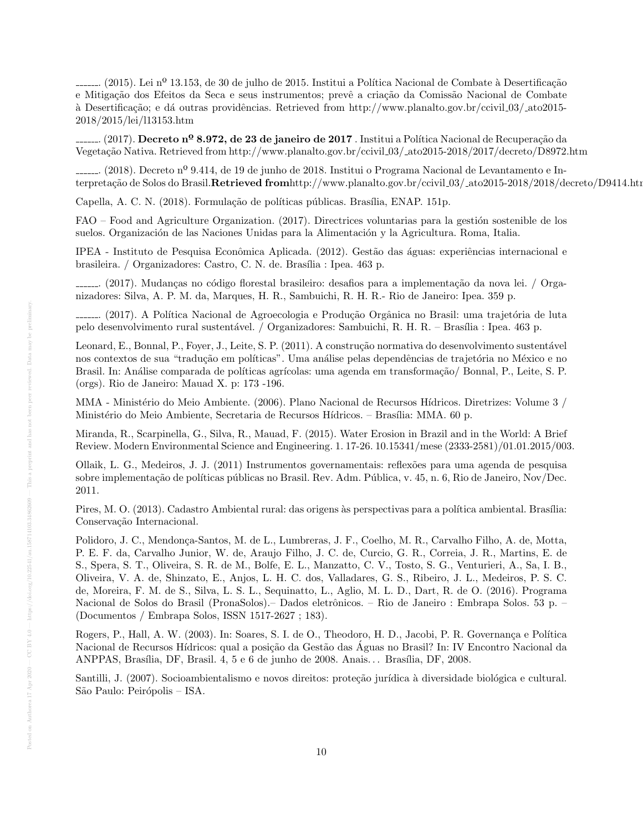........ (2015). Lei nº 13.153, de 30 de julho de 2015. Institui a Política Nacional de Combate à Desertificação e Mitigação dos Efeitos da Seca e seus instrumentos; prevê a criação da Comissão Nacional de Combate `a Desertifica¸c˜ao; e d´a outras providˆencias. Retrieved from http://www.planalto.gov.br/ccivil 03/ ato2015- 2018/2015/lei/l13153.htm

....... (2017). Decreto nº 8.972, de 23 de janeiro de 2017. Institui a Política Nacional de Recuperação da Vegeta¸c˜ao Nativa. Retrieved from http://www.planalto.gov.br/ccivil 03/ ato2015-2018/2017/decreto/D8972.htm

. (2018). Decreto nº 9.414, de 19 de junho de 2018. Institui o Programa Nacional de Levantamento e Interpretação de Solos do Brasil.Retrieved fromhttp://www.planalto.gov.br/ccivil 03/ ato2015-2018/2018/decreto/D9414.htm

Capella, A. C. N. (2018). Formulação de políticas públicas. Brasília, ENAP. 151p.

FAO – Food and Agriculture Organization. (2017). Directrices voluntarias para la gestión sostenible de los suelos. Organización de las Naciones Unidas para la Alimentación y la Agricultura. Roma, Italia.

IPEA - Instituto de Pesquisa Econômica Aplicada. (2012). Gestão das águas: experiências internacional e brasileira. / Organizadores: Castro, C. N. de. Brasília : Ipea. 463 p.

........ (2017). Mudanças no código florestal brasileiro: desafios para a implementação da nova lei. / Organizadores: Silva, A. P. M. da, Marques, H. R., Sambuichi, R. H. R.- Rio de Janeiro: Ipea. 359 p.

........ (2017). A Política Nacional de Agroecologia e Produção Orgânica no Brasil: uma trajetória de luta pelo desenvolvimento rural sustentável. / Organizadores: Sambuichi, R. H. R. – Brasília : Ipea. 463 p.

Leonard, E., Bonnal, P., Foyer, J., Leite, S. P. (2011). A construção normativa do desenvolvimento sustentável nos contextos de sua "tradução em políticas". Uma análise pelas dependências de trajetória no México e no Brasil. In: Análise comparada de políticas agrícolas: uma agenda em transformação/ Bonnal, P., Leite, S. P. (orgs). Rio de Janeiro: Mauad X. p: 173 -196.

MMA - Ministério do Meio Ambiente. (2006). Plano Nacional de Recursos Hídricos. Diretrizes: Volume 3 / Ministério do Meio Ambiente, Secretaria de Recursos Hídricos. – Brasília: MMA. 60 p.

Miranda, R., Scarpinella, G., Silva, R., Mauad, F. (2015). Water Erosion in Brazil and in the World: A Brief Review. Modern Environmental Science and Engineering. 1. 17-26. 10.15341/mese (2333-2581)/01.01.2015/003.

Ollaik, L. G., Medeiros, J. J. (2011) Instrumentos governamentais: reflex˜oes para uma agenda de pesquisa sobre implementação de políticas públicas no Brasil. Rev. Adm. Pública, v. 45, n. 6, Rio de Janeiro, Nov/Dec. 2011.

Pires, M. O. (2013). Cadastro Ambiental rural: das origens às perspectivas para a política ambiental. Brasília: Conservação Internacional.

Polidoro, J. C., Mendonça-Santos, M. de L., Lumbreras, J. F., Coelho, M. R., Carvalho Filho, A. de, Motta, P. E. F. da, Carvalho Junior, W. de, Araujo Filho, J. C. de, Curcio, G. R., Correia, J. R., Martins, E. de S., Spera, S. T., Oliveira, S. R. de M., Bolfe, E. L., Manzatto, C. V., Tosto, S. G., Venturieri, A., Sa, I. B., Oliveira, V. A. de, Shinzato, E., Anjos, L. H. C. dos, Valladares, G. S., Ribeiro, J. L., Medeiros, P. S. C. de, Moreira, F. M. de S., Silva, L. S. L., Sequinatto, L., Aglio, M. L. D., Dart, R. de O. (2016). Programa Nacional de Solos do Brasil (PronaSolos).– Dados eletrônicos. – Rio de Janeiro : Embrapa Solos. 53 p. – (Documentos / Embrapa Solos, ISSN 1517-2627 ; 183).

Rogers, P., Hall, A. W. (2003). In: Soares, S. I. de O., Theodoro, H. D., Jacobi, P. R. Governança e Política Nacional de Recursos Hídricos: qual a posição da Gestão das Aguas no Brasil? In: IV Encontro Nacional da ANPPAS, Brasília, DF, Brasil. 4, 5 e 6 de junho de 2008. Anais... Brasília, DF, 2008.

Santilli, J. (2007). Socioambientalismo e novos direitos: proteção jurídica à diversidade biológica e cultural. São Paulo: Peirópolis – ISA.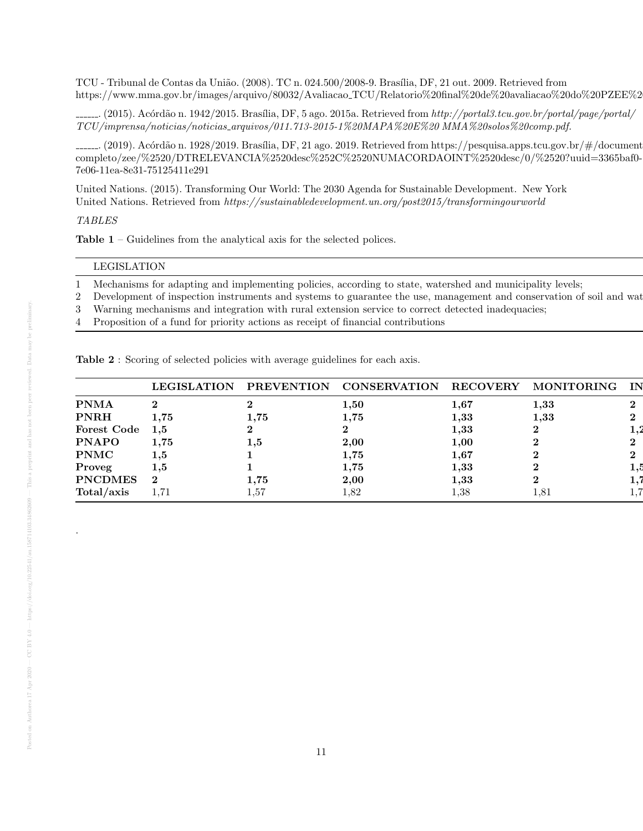TCU - Tribunal de Contas da União. (2008). TC n. 024.500/2008-9. Brasília, DF, 21 out. 2009. Retrieved from https://www.mma.gov.br/images/arquivo/80032/Avaliacao\_TCU/Relatorio%20final%20de%20avaliacao%20do%20PZEE%2

........ (2015). Acórdão n. 1942/2015. Brasília, DF, 5 ago. 2015a. Retrieved from http://portal3.tcu.gov.br/portal/page/portal/ TCU/imprensa/noticias/noticias arquivos/011.713-2015-1%20MAPA%20E%20 MMA%20solos%20comp.pdf.

........ (2019). Acórdão n. 1928/2019. Brasília, DF, 21 ago. 2019. Retrieved from https://pesquisa.apps.tcu.gov.br/ $\#$ /document completo/zee/%2520/DTRELEVANCIA%2520desc%252C%2520NUMACORDAOINT%2520desc/0/%2520?uuid=3365baf0- 7e06-11ea-8e31-75125411e291

United Nations. (2015). Transforming Our World: The 2030 Agenda for Sustainable Development. New York United Nations. Retrieved from https://sustainabledevelopment.un.org/post2015/transformingourworld

## TABLES

Table 1 – Guidelines from the analytical axis for the selected polices.

#### LEGISLATION PREVENTION CONSERVATION RECOVERY MONITORING INTEGRATION

1 Mechanisms for adapting and implementing policies, according to state, watershed and municipality levels;

- 2 Development of inspection instruments and systems to guarantee the use, management and conservation of soil and wat
- 3 Warning mechanisms and integration with rural extension service to correct detected inadequacies;
- 4 Proposition of a fund for priority actions as receipt of financial contributions

|  |  | Table 2: Scoring of selected policies with average guidelines for each axis. |  |  |
|--|--|------------------------------------------------------------------------------|--|--|

|                    | <b>LEGISLATION</b> | <b>PREVENTION</b> | <b>CONSERVATION</b> | <b>RECOVERY</b> | <b>MONITORING</b> | IN           |
|--------------------|--------------------|-------------------|---------------------|-----------------|-------------------|--------------|
| <b>PNMA</b>        | ച                  |                   | $1,\!50$            | 1,67            | 1.33              | $\bf{2}$     |
| <b>PNRH</b>        | $1.75\,$           | $\bf 1.75$        | 1,75                | 1,33            | 1,33              | $\bf{2}$     |
| <b>Forest Code</b> | 1.5                |                   |                     | $\bf 1.33$      |                   | $\pm$ 4      |
| <b>PNAPO</b>       | $\bf 1.75$         | $1.5\,$           | 2,00                | 1,00            |                   | $\bf{2}$     |
| <b>PNMC</b>        | $1.5\,$            |                   | $1.75\,$            | $1.67\,$        | ົ                 | $\mathbf{2}$ |
| Proveg             | $1.5\,$            |                   | 1,75                | 1,33            |                   | 1.5          |
| <b>PNCDMES</b>     | $\bf{2}$           | $1.75\,$          | 2,00                | 1,33            |                   | ı.           |
| Total/axis         | 1.71               | 1,57              | 1,82                | $_{1,38}$       | $1.81\,$          | $\pm 1.1$    |
|                    |                    |                   |                     |                 |                   |              |

.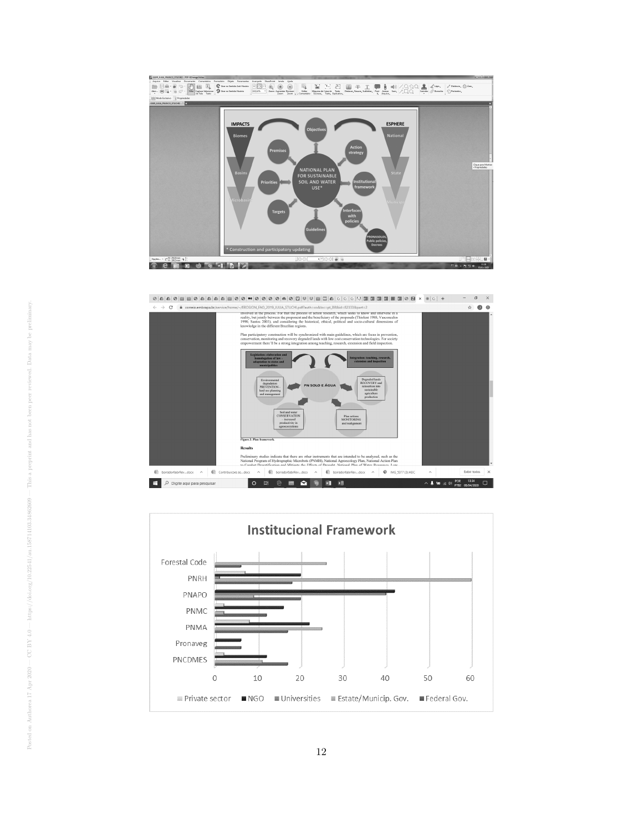



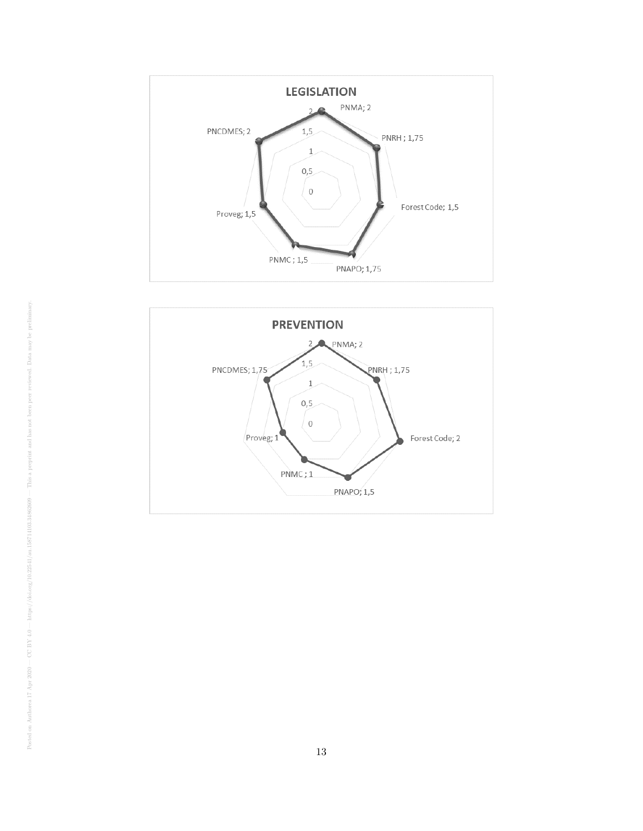

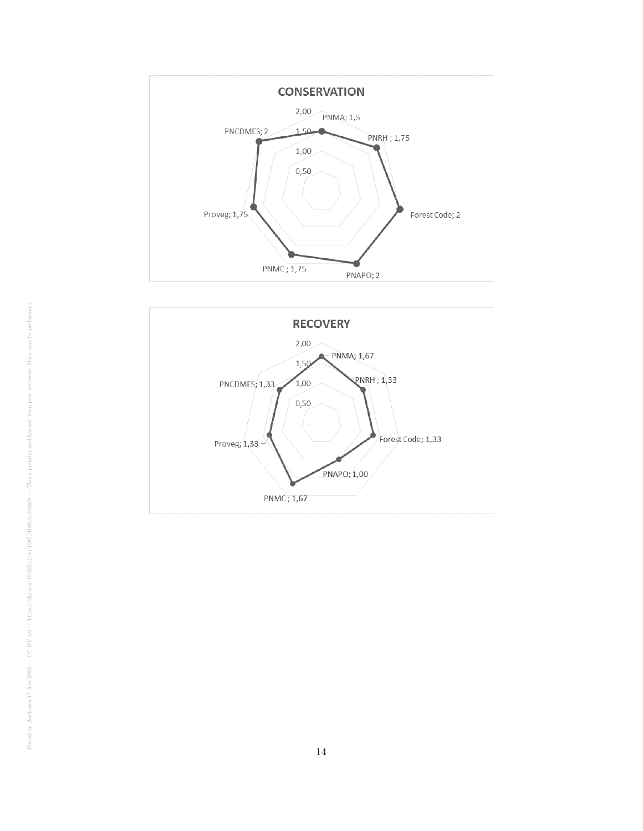